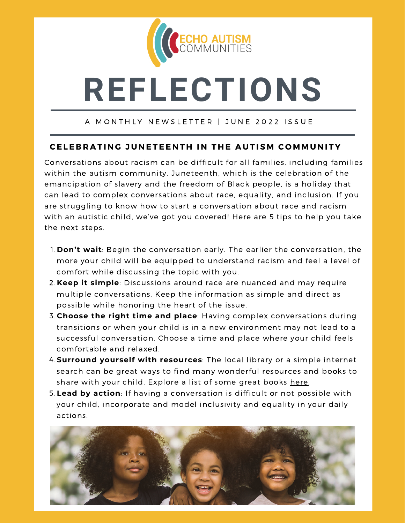

# **REFLECTIONS**

#### A MONTHLY NEWSLETTER | JUNE 2022 ISSUE

## CELEBRATING JUNETEENTH IN THE AUTISM COMMUNITY

Conversations about racism can be difficult for all families, including families within the autism community. Juneteenth, which is the celebration of the emancipation of slavery and the freedom of Black people, is a holiday that can lead to complex conversations about race, equality, and inclusion. If you are struggling to know how to start a conversation about race and racism with an autistic child, we've got you covered! Here are 5 tips to help you take the next steps.

- **Don't wait**: Begin the conversation early. The earlier the conversation, the 1. more your child will be equipped to understand racism and feel a level of comfort while discussing the topic with you.
- **Keep it simple**: Discussions around race are nuanced and may require 2. multiple conversations. Keep the information as simple and direct as possible while honoring the heart of the issue.
- **Choose the right time and place**: Having complex conversations during 3. transitions or when your child is in a new environment may not lead to a successful conversation. Choose a time and place where your child feels comfortable and relaxed.
- **Surround yourself with resources**: The local library or a simple internet 4. search can be great ways to find many wonderful resources and books to share with your child. Explore a list of some great books [here](https://www.myautism.org/news-features/childrens-books-about-race-and-racism).
- **Lead by action**: If having a conversation is difficult or not possible with 5. your child, incorporate and model inclusivity and equality in your daily actions.

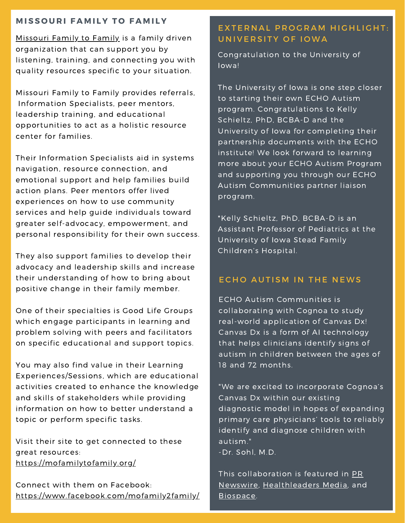#### **M I S S O U R I F A M I L Y T O F A M I L Y**

[Missouri](https://mofamilytofamily.org/) Family to Family is a family driven organization that can support you by listening, training, and connecting you with quality resources specific to your situation.

Missouri Family to Family provides referrals, Information Specialists, peer mentors, leadership training, and educational opportunities to act as a holistic resource center for families.

Their Information Specialists aid in systems navigation, resource connection, and emotional support and help families build action plans. Peer mentors offer lived experiences on how to use community services and help guide individuals toward greater self-advocacy, empowerment, and personal responsibility for their own success.

They also support families to develop their advocacy and leadership skills and increase their understanding of how to bring about positive change in their family member.

One of their specialties is Good Life Groups which engage participants in learning and problem solving with peers and facilitators on specific educational and support topics.

You may also find value in their Learning Experiences/Sessions, which are educational activities created to enhance the knowledge and skills of stakeholders while providing information on how to better understand a topic or perform specific tasks.

Visit their site to get connected to these great resources: <https://mofamilytofamily.org/>

Connect with them on Facebook: <https://www.facebook.com/mofamily2family/>

## EXTERNAL PROGRAM HIGHLIGHT: UNIVERSITY OF IOWA

Congratulation to the University of Iowa!

The University of Iowa is one step closer to starting their own ECHO Autism program. Congratulations to Kelly Schieltz, PhD, BCBA-D and the University of Iowa for completing their partnership documents with the ECHO institute! We look forward to learning more about your ECHO Autism Program and supporting you through our ECHO Autism Communities partner liaison program.

\*Kelly Schieltz, PhD, BCBA-D is an Assistant Professor of Pediatrics at the University of Iowa Stead Family Children's Hospital.

### ECHO AUTISM IN THE NEWS

ECHO Autism Communities is collaborating with Cognoa to study real-world application of Canvas Dx! Canvas Dx is a form of AI technology that helps clinicians identify signs of autism in children between the ages of 18 and 72 months.

"We are excited to incorporate Cognoa's Canvas Dx within our existing diagnostic model in hopes of expanding primary care physicians' tools to reliably identify and diagnose children with autism."

-Dr. Sohl, M.D.

This collaboration is featured in PR Newswire, [Healthleaders](https://www.prnewswire.com/news-releases/echo-autism-communities-collaborate-with-%20cognoa-to-study-real-world-application-of-canvas-dx-301558915.html) Media, and [Biospace](https://www.biospace.com/article/releases/echo-autism-communities-collaborate-with-%20cognoa-to-study-real-world-application-of-canvas-dx/).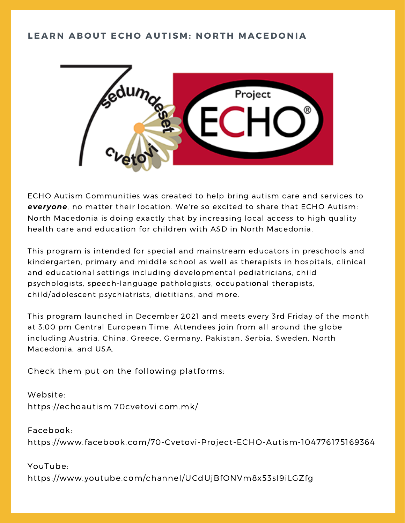# LEARN ABOUT ECHO AUTISM: NORTH MACEDONIA



ECHO Autism Communities was created to help bring autism care and services to *everyone*, no matter their location. We're so excited to share that ECHO Autism: North Macedonia is doing exactly that by increasing local access to high quality health care and education for children with ASD in North Macedonia.

This program is intended for special and mainstream educators in preschools and kindergarten, primary and middle school as well as therapists in hospitals, clinical and educational settings including developmental pediatricians, child psychologists, speech-language pathologists, occupational therapists, child/adolescent psychiatrists, dietitians, and more.

This program launched in December 2021 and meets every 3rd Friday of the month at 3:00 pm Central European Time. Attendees join from all around the globe including Austria, China, Greece, Germany, Pakistan, Serbia, Sweden, North Macedonia, and USA.

Check them put on the following platforms:

Website: https://echoautism.70cvetovi.com.mk/

Facebook: https://www.facebook.com/70-Cvetovi-Project-ECHO-Autism-104776175169364

YouTube: https://www.youtube.com/channel/UCdUjBfONVm8x53sI9iLGZfg